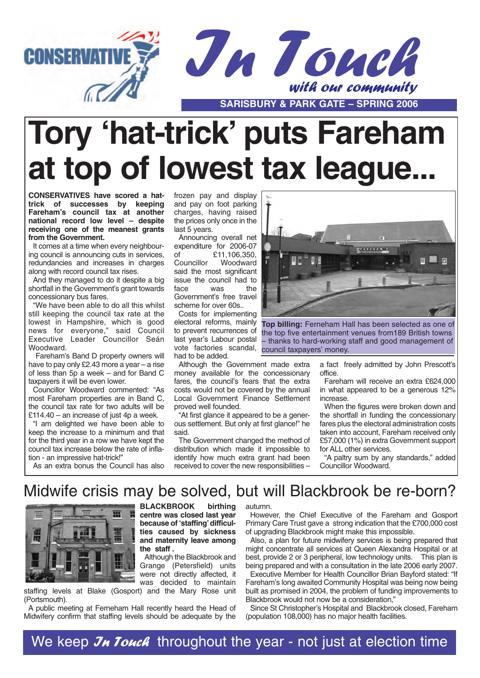



# **Tory 'hat-trick' puts Fareham at top of lowest tax league...**

**CONSERVATIVES have scored a hattrick of successes by keeping Fareham's council tax at another national record low level – despite receiving one of the meanest grants from the Government.**

It comes at a time when every neighbouring council is announcing cuts in services, redundancies and increases in charges along with record council tax rises.

And they managed to do it despite a big shortfall in the Government's grant towards concessionary bus fares.

"We have been able to do all this whilst still keeping the council tax rate at the lowest in Hampshire, which is good news for everyone," said Council Executive Leader Councillor Seán Woodward.

Fareham's Band D property owners will have to pay only £2.43 more a year – a rise of less than 5p a week – and for Band C taxpayers it will be even lower.

Councillor Woodward commented: "As most Fareham properties are in Band C, the council tax rate for two adults will be £114.40 – an increase of just 4p a week.

"I am delighted we have been able to keep the increase to a minimum and that for the third year in a row we have kept the council tax increase below the rate of inflation - an impressive hat-trick!"

frozen pay and display and pay on foot parking charges, having raised the prices only once in the last 5 years.

Announcing overall net expenditure for 2006-07 of £11,106,350,<br>Councillor Woodward Woodward said the most significant issue the council had to face was the Government's free travel scheme for over 60s..

Costs for implementing electoral reforms, mainly to prevent recurrences of last year's Labour postal vote factories scandal, had to be added.

Although the Government made extra money available for the concessionary fares, the council's fears that the extra costs would not be covered by the annual Local Government Finance Settlement proved well founded.

"At first glance it appeared to be a generous settlement. But only at first glance!" he said.

The Government changed the method of distribution which made it impossible to identify how much extra grant had been received to cover the new responsibilities –



**Top billing:** Ferneham Hall has been selected as one of the top five entertainment venues from189 British towns – thanks to hard-working staff and good management of council taxpayers' money.

> a fact freely admitted by John Prescott's office.

Fareham will receive an extra £624,000 in what appeared to be a generous 12% increase.

When the figures were broken down and the shortfall in funding the concessionary fares plus the electoral administration costs taken into account, Fareham received only £57,000 (1%) in extra Government support for ALL other services.

"A paltry sum by any standards," added Councillor Woodward.

As an extra bonus the Council has also

### Midwife crisis may be solved, but will Blackbrook be re-born?



**BLACKBROOK birthing centre was closed last year because of 'staffing'difficulties caused by sickness and maternity leave among the staff .**

Although the Blackbrook and Grange (Petersfield) units were not directly affected, it was decided to maintain

staffing levels at Blake (Gosport) and the Mary Rose unit (Portsmouth).

A public meeting at Ferneham Hall recently heard the Head of Midwifery confirm that staffing levels should be adequate by the

autumn.

However, the Chief Executive of the Fareham and Gosport Primary Care Trust gave a strong indication that the £700,000 cost of upgrading Blackbrook might make this impossible.

Also, a plan for future midwifery services is being prepared that might concentrate all services at Queen Alexandra Hospital or at best, provide 2 or 3 peripheral, low technology units. This plan is being prepared and with a consultation in the late 2006 early 2007.

Executive Member for Health Councillor Brian Bayford stated: "If Fareham's long awaited Community Hospital was being now being built as promised in 2004, the problem of funding improvements to Blackbrook would not now be a consideration,"

Since St Christopher's Hospital and Blackbrook closed, Fareham (population 108,000) has no major health facilities.

We keep  $\mathcal{J}_H$  Touch throughout the year - not just at election time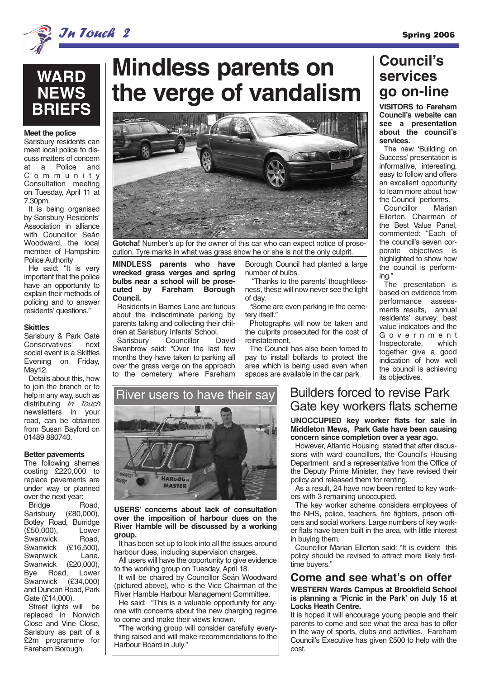

 $Jn$   $Jonck$   $2$ 

### **WARD NEWS BRIEFS**

#### **Meet the police**

Sarisbury residents can meet local police to discuss matters of concern at a Police and Community Consultation meeting on Tuesday, April 11 at 7.30pm.

It is being organised by Sarisbury Residents' Association in alliance with Councillor Seán Woodward, the local member of Hampshire Police Authority

He said: "It is very important that the police have an opportunity to explain their methods of policing and to answer residents' questions."

#### **Skittles**

Sarisbury & Park Gate Conservatives' next social event is a Skittles Evening on Friday, May12.

Details about this, how to join the branch or to help in any way, such as distributing In Touch newsletters in your road, can be obtained from Susan Bayford on 01489 880740.

#### **Better pavements**

The following shemes costing £220,000 to replace pavements are under way or planned over the next year:

Bridge Road, Sarisbury (£80,000), Botley Road, Burridge (£50,000), Lower Swanwick Road, Swanwick (£16,500), Swanwick Lane, Swanwick (£20,000),<br>Bve Road. Lower Road, Lower<br>wick (£34,000) Swanwick and Duncan Road, Park Gate (£14,000).

Street lights will be replaced in Norwich Close and Vine Close, Sarisbury as part of a £2m programme for Fareham Borough.

# **Mindless parents on the verge of vandalism**



**Gotcha!** Number's up for the owner of this car who can expect notice of prosecution. Tyre marks in what was grass show he or she is not the only culprit.

**MINDLESS parents who have wrecked grass verges and spring bulbs near a school will be prosecuted by Fareham Borough Council.**

Residents in Barnes Lane are furious about the indiscriminate parking by parents taking and collecting their children at Sarisbury Infants' School.<br>Sarisbury Councillor David

Sarisbury Swanbrow said: "Over the last few months they have taken to parking all over the grass verge on the approach to the cemetery where Fareham Borough Council had planted a large number of bulbs.

"Thanks to the parents' thoughtlessness, these will now never see the light of day.

"Some are even parking in the cemetery itself."

Photographs will now be taken and the culprits prosecuted for the cost of reinstatement.

The Council has also been forced to pay to install bollards to protect the area which is being used even when spaces are available in the car park.

### **Council's services go on-line**

**VISITORS to Fareham Council's website can see a presentation about the council's services.** 

The new 'Building on Success' presentation is informative, interesting, easy to follow and offers an excellent opportunity to learn more about how the Council performs.<br>Councillor Marian

Councillor Ellerton, Chairman of the Best Value Panel, commented: "Each of the council's seven corporate objectives is highlighted to show how the council is performing."

The presentation is based on evidence from performance assessments results, annual residents' survey, best value indicators and the Government<br>Inspectorate. which Inspectorate, together give a good indication of how well the council is achieving its objectives.



**USERS' concerns about lack of consultation over the imposition of harbour dues on the River Hamble will be discussed by a working group.**

It has been set up to look into all the issues around harbour dues, including supervision charges.

All users will have the opportunity to give evidence to the working group on Tuesday, April 18.

It will be chaired by Councillor Seán Woodward (pictured above), who is the Vice Chairman of the River Hamble Harbour Management Committee.

He said: "This is a valuable opportunity for anyone with concerns about the new charging regime to come and make their views known.

"The working group will consider carefully everything raised and will make recommendations to the Harbour Board in July."

#### Builders forced to revise Park Gate key workers flats scheme

**UNOCCUPIED key worker flats for sale in Middleton Mews, Park Gate have been causing concern since completion over a year ago.**

However, Atlantic Housing stated that after discussions with ward councillors, the Council's Housing Department and a representative from the Office of the Deputy Prime Minister, they have revised their policy and released them for renting.

As a result, 24 have now been rented to key workers with 3 remaining unoccupied.

The key worker scheme considers employees of the NHS, police, teachers, fire fighters, prison officers and social workers. Large numbers of key worker flats have been built in the area, with little interest in buying them.

Councillor Marian Ellerton said: "It is evident this policy should be revised to attract more likely firsttime buyers."

#### **Come and see what's on offer**

**WESTERN Wards Campus at Brookfield School is planning a 'Picnic in the Park' on July 15 at Locks Heath Centre.** 

It is hoped it will encourage young people and their parents to come and see what the area has to offer in the way of sports, clubs and activities. Fareham Council's Executive has given £500 to help with the cost.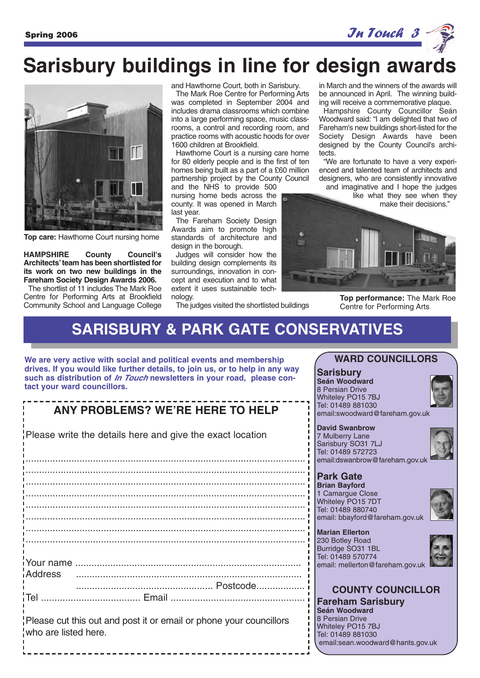

# **Sarisbury buildings in line for design awards**



**Top care:** Hawthorne Court nursing home

**HAMPSHIRE County Council's Architects'team has been shortlisted for its work on two new buildings in the Fareham Society Design Awards 2006.** 

The shortlist of 11 includes The Mark Roe Centre for Performing Arts at Brookfield Community School and Language College and Hawthorne Court, both in Sarisbury.

The Mark Roe Centre for Performing Arts was completed in September 2004 and includes drama classrooms which combine into a large performing space, music classrooms, a control and recording room, and practice rooms with acoustic hoods for over 1600 children at Brookfield.

Hawthorne Court is a nursing care home for 80 elderly people and is the first of ten homes being built as a part of a £60 million partnership project by the County Council and the NHS to provide 500

nursing home beds across the county. It was opened in March last year.

The Fareham Society Design Awards aim to promote high standards of architecture and design in the borough.

Judges will consider how the building design complements its surroundings, innovation in concept and execution and to what extent it uses sustainable technology.

in March and the winners of the awards will be announced in April. The winning building will receive a commemorative plaque. Hampshire County Councillor Seán

Woodward said: "I am delighted that two of Fareham's new buildings short-listed for the Society Design Awards have been designed by the County Council's architects.

"We are fortunate to have a very experienced and talented team of architects and designers, who are consistently innovative

and imaginative and I hope the judges like what they see when they make their decisions."



**Top performance:** The Mark Roe Centre for Performing Arts

### **SARISBURY & PARK GATE CONSERVATIVES**

The judges visited the shortlisted buildings

**We are very active with social and political events and membership drives. If you would like further details, to join us, or to help in any way such as distribution of In Touch newsletters in your road, please contact your ward councillors.**

### **ANY PROBLEMS? WE'RE HERE TO HELP**

Please write the details here and give the exact location

........................................................................................................ ........................................................................................................ ........................................................................................................ ........................................................................................................ ........................................................................................................ ........................................................................................................ ........................................................................................................ ........................................................................................................ Your name .................................................................................... Address .................................................................................... ................................................... Postcode.................. Tel ..................................... Email ..................................................

Please cut this out and post it or email or phone your councillors who are listed here.

#### **WARD COUNCILLORS**

#### **Sarisbury Seán Woodward** 8 Persian Drive Whiteley PO15 7BJ Tel: 01489 881030 email:swoodward@fareham.gov.uk

**David Swanbrow** 7 Mulberry Lane Sarisbury SO31 7LJ Tel: 01489 572723 email:dswanbrow@fareham.gov.uk

### **Park Gate**

**Brian Bayford** 1 Camargue Close Whiteley PO15 7DT Tel: 01489 880740 email: bbayford@fareham.gov.uk



**Marian Ellerton** 230 Botley Road Burridge SO31 1BL Tel: 01489 570774 email: mellerton@fareham.gov.uk



## **COUNTY COUNCILLOR Fareham Sarisbury**

**Seán Woodward** 8 Persian Drive Whiteley PO15 7BJ Tel: 01489 881030 email:sean.woodward@hants.gov.uk